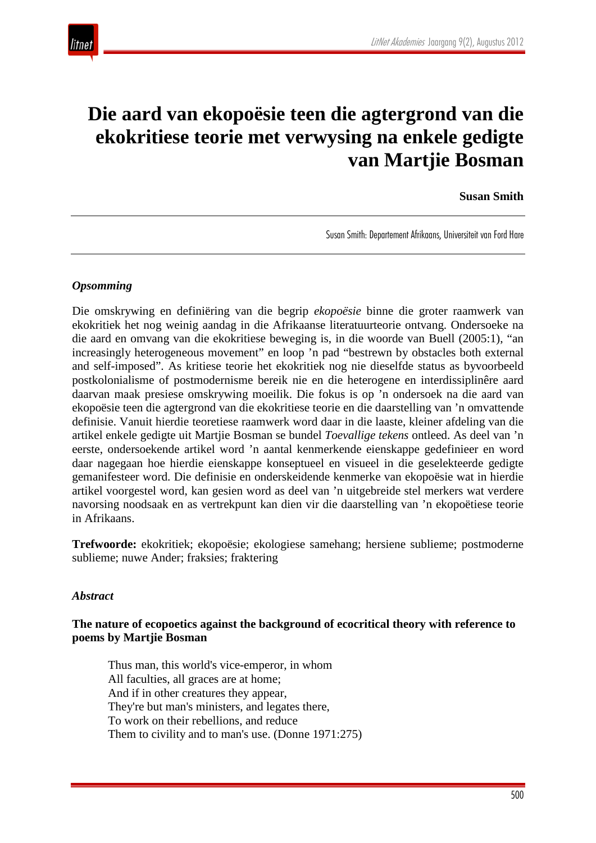

# **Die aard van ekopoësie teen die agtergrond van die ekokritiese teorie met verwysing na enkele gedigte van Martjie Bosman**

#### **Susan Smith**

Susan Smith: Departement Afrikaans, Universiteit van Ford Hare

#### *Opsomming*

Die omskrywing en definiëring van die begrip *ekopoësie* binne die groter raamwerk van ekokritiek het nog weinig aandag in die Afrikaanse literatuurteorie ontvang. Ondersoeke na die aard en omvang van die ekokritiese beweging is, in die woorde van Buell (2005:1), "an increasingly heterogeneous movement" en loop 'n pad "bestrewn by obstacles both external and self-imposed". As kritiese teorie het ekokritiek nog nie dieselfde status as byvoorbeeld postkolonialisme of postmodernisme bereik nie en die heterogene en interdissiplinêre aard daarvan maak presiese omskrywing moeilik. Die fokus is op 'n ondersoek na die aard van ekopoësie teen die agtergrond van die ekokritiese teorie en die daarstelling van 'n omvattende definisie. Vanuit hierdie teoretiese raamwerk word daar in die laaste, kleiner afdeling van die artikel enkele gedigte uit Martjie Bosman se bundel *Toevallige tekens* ontleed. As deel van 'n eerste, ondersoekende artikel word 'n aantal kenmerkende eienskappe gedefinieer en word daar nagegaan hoe hierdie eienskappe konseptueel en visueel in die geselekteerde gedigte gemanifesteer word. Die definisie en onderskeidende kenmerke van ekopoësie wat in hierdie artikel voorgestel word, kan gesien word as deel van 'n uitgebreide stel merkers wat verdere navorsing noodsaak en as vertrekpunt kan dien vir die daarstelling van 'n ekopoëtiese teorie in Afrikaans.

**Trefwoorde:** ekokritiek; ekopoësie; ekologiese samehang; hersiene sublieme; postmoderne sublieme; nuwe Ander; fraksies; fraktering

#### *Abstract*

### **The nature of ecopoetics against the background of ecocritical theory with reference to poems by Martjie Bosman**

Thus man, this world's vice-emperor, in whom All faculties, all graces are at home; And if in other creatures they appear, They're but man's ministers, and legates there, To work on their rebellions, and reduce Them to civility and to man's use. (Donne 1971:275)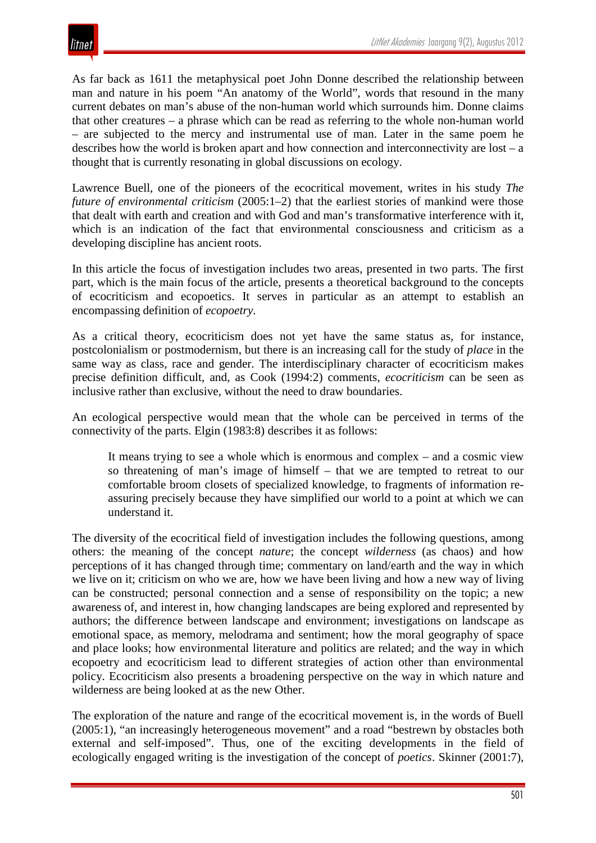As far back as 1611 the metaphysical poet John Donne described the relationship between man and nature in his poem "An anatomy of the World", words that resound in the many current debates on man's abuse of the non-human world which surrounds him. Donne claims that other creatures – a phrase which can be read as referring to the whole non-human world – are subjected to the mercy and instrumental use of man. Later in the same poem he describes how the world is broken apart and how connection and interconnectivity are lost – a thought that is currently resonating in global discussions on ecology.

Lawrence Buell, one of the pioneers of the ecocritical movement, writes in his study *The future of environmental criticism* (2005:1–2) that the earliest stories of mankind were those that dealt with earth and creation and with God and man's transformative interference with it, which is an indication of the fact that environmental consciousness and criticism as a developing discipline has ancient roots.

In this article the focus of investigation includes two areas, presented in two parts. The first part, which is the main focus of the article, presents a theoretical background to the concepts of ecocriticism and ecopoetics. It serves in particular as an attempt to establish an encompassing definition of *ecopoetry*.

As a critical theory, ecocriticism does not yet have the same status as, for instance, postcolonialism or postmodernism, but there is an increasing call for the study of *place* in the same way as class, race and gender. The interdisciplinary character of ecocriticism makes precise definition difficult, and, as Cook (1994:2) comments, *ecocriticism* can be seen as inclusive rather than exclusive, without the need to draw boundaries.

An ecological perspective would mean that the whole can be perceived in terms of the connectivity of the parts. Elgin (1983:8) describes it as follows:

It means trying to see a whole which is enormous and complex – and a cosmic view so threatening of man's image of himself – that we are tempted to retreat to our comfortable broom closets of specialized knowledge, to fragments of information reassuring precisely because they have simplified our world to a point at which we can understand it.

The diversity of the ecocritical field of investigation includes the following questions, among others: the meaning of the concept *nature*; the concept *wilderness* (as chaos) and how perceptions of it has changed through time; commentary on land/earth and the way in which we live on it; criticism on who we are, how we have been living and how a new way of living can be constructed; personal connection and a sense of responsibility on the topic; a new awareness of, and interest in, how changing landscapes are being explored and represented by authors; the difference between landscape and environment; investigations on landscape as emotional space, as memory, melodrama and sentiment; how the moral geography of space and place looks; how environmental literature and politics are related; and the way in which ecopoetry and ecocriticism lead to different strategies of action other than environmental policy. Ecocriticism also presents a broadening perspective on the way in which nature and wilderness are being looked at as the new Other.

The exploration of the nature and range of the ecocritical movement is, in the words of Buell (2005:1), "an increasingly heterogeneous movement" and a road "bestrewn by obstacles both external and self-imposed". Thus, one of the exciting developments in the field of ecologically engaged writing is the investigation of the concept of *poetics*. Skinner (2001:7),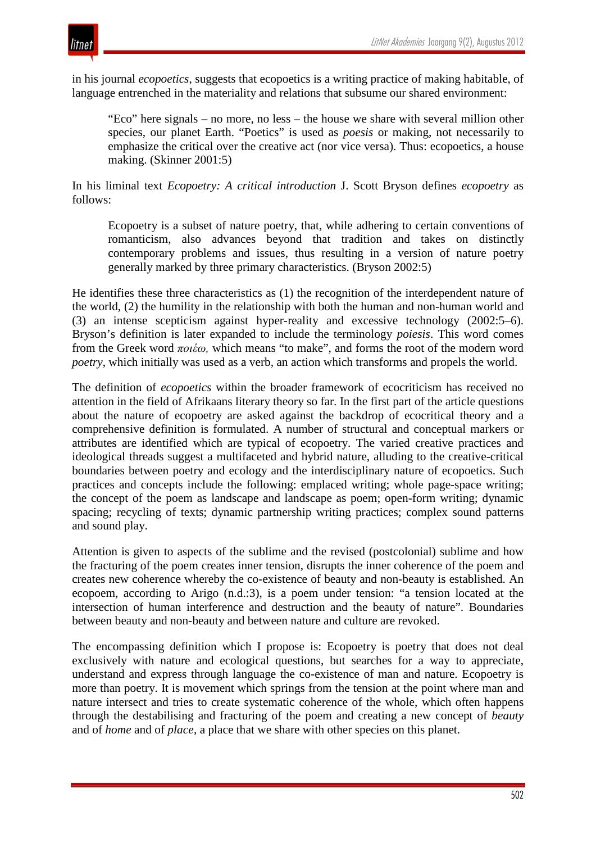

in his journal *ecopoetics*, suggests that ecopoetics is a writing practice of making habitable, of language entrenched in the materiality and relations that subsume our shared environment:

"Eco" here signals – no more, no less – the house we share with several million other species, our planet Earth. "Poetics" is used as *poesis* or making, not necessarily to emphasize the critical over the creative act (nor vice versa). Thus: ecopoetics, a house making. (Skinner 2001:5)

In his liminal text *Ecopoetry: A critical introduction* J. Scott Bryson defines *ecopoetry* as follows:

Ecopoetry is a subset of nature poetry, that, while adhering to certain conventions of romanticism, also advances beyond that tradition and takes on distinctly contemporary problems and issues, thus resulting in a version of nature poetry generally marked by three primary characteristics. (Bryson 2002:5)

He identifies these three characteristics as (1) the recognition of the interdependent nature of the world, (2) the humility in the relationship with both the human and non-human world and (3) an intense scepticism against hyper-reality and excessive technology (2002:5–6). Bryson's definition is later expanded to include the terminology *poiesis*. This word comes from the Greek word *ποιέω,* which means "to make", and forms the root of the modern word *poetry*, which initially was used as a verb, an action which transforms and propels the world.

The definition of *ecopoetics* within the broader framework of ecocriticism has received no attention in the field of Afrikaans literary theory so far. In the first part of the article questions about the nature of ecopoetry are asked against the backdrop of ecocritical theory and a comprehensive definition is formulated. A number of structural and conceptual markers or attributes are identified which are typical of ecopoetry. The varied creative practices and ideological threads suggest a multifaceted and hybrid nature, alluding to the creative-critical boundaries between poetry and ecology and the interdisciplinary nature of ecopoetics. Such practices and concepts include the following: emplaced writing; whole page-space writing; the concept of the poem as landscape and landscape as poem; open-form writing; dynamic spacing; recycling of texts; dynamic partnership writing practices; complex sound patterns and sound play.

Attention is given to aspects of the sublime and the revised (postcolonial) sublime and how the fracturing of the poem creates inner tension, disrupts the inner coherence of the poem and creates new coherence whereby the co-existence of beauty and non-beauty is established. An ecopoem, according to Arigo (n.d.:3), is a poem under tension: "a tension located at the intersection of human interference and destruction and the beauty of nature". Boundaries between beauty and non-beauty and between nature and culture are revoked.

The encompassing definition which I propose is: Ecopoetry is poetry that does not deal exclusively with nature and ecological questions, but searches for a way to appreciate, understand and express through language the co-existence of man and nature. Ecopoetry is more than poetry. It is movement which springs from the tension at the point where man and nature intersect and tries to create systematic coherence of the whole, which often happens through the destabilising and fracturing of the poem and creating a new concept of *beauty* and of *home* and of *place*, a place that we share with other species on this planet.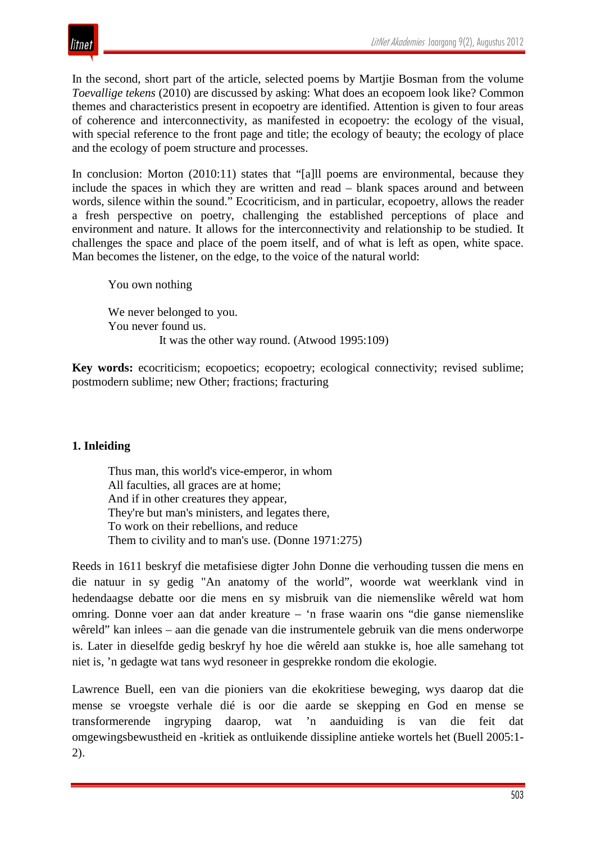

In the second, short part of the article, selected poems by Martjie Bosman from the volume *Toevallige tekens* (2010) are discussed by asking: What does an ecopoem look like? Common themes and characteristics present in ecopoetry are identified. Attention is given to four areas of coherence and interconnectivity, as manifested in ecopoetry: the ecology of the visual, with special reference to the front page and title; the ecology of beauty; the ecology of place and the ecology of poem structure and processes.

In conclusion: Morton (2010:11) states that "[a]ll poems are environmental, because they include the spaces in which they are written and read – blank spaces around and between words, silence within the sound." Ecocriticism, and in particular, ecopoetry, allows the reader a fresh perspective on poetry, challenging the established perceptions of place and environment and nature. It allows for the interconnectivity and relationship to be studied. It challenges the space and place of the poem itself, and of what is left as open, white space. Man becomes the listener, on the edge, to the voice of the natural world:

We never belonged to you. You never found us. It was the other way round. (Atwood 1995:109)

**Key words:** ecocriticism: ecopoetics: ecopoetry: ecological connectivity; revised sublime; postmodern sublime; new Other; fractions; fracturing

## **1. Inleiding**

You own nothing

Thus man, this world's vice-emperor, in whom All faculties, all graces are at home; And if in other creatures they appear, They're but man's ministers, and legates there, To work on their rebellions, and reduce Them to civility and to man's use. (Donne 1971:275)

Reeds in 1611 beskryf die metafisiese digter John Donne die verhouding tussen die mens en die natuur in sy gedig "An anatomy of the world", woorde wat weerklank vind in hedendaagse debatte oor die mens en sy misbruik van die niemenslike wêreld wat hom omring. Donne voer aan dat ander kreature – 'n frase waarin ons "die ganse niemenslike wêreld" kan inlees – aan die genade van die instrumentele gebruik van die mens onderworpe is. Later in dieselfde gedig beskryf hy hoe die wêreld aan stukke is, hoe alle samehang tot niet is, 'n gedagte wat tans wyd resoneer in gesprekke rondom die ekologie.

Lawrence Buell, een van die pioniers van die ekokritiese beweging, wys daarop dat die mense se vroegste verhale dié is oor die aarde se skepping en God en mense se transformerende ingryping daarop, wat 'n aanduiding is van die feit dat omgewingsbewustheid en -kritiek as ontluikende dissipline antieke wortels het (Buell 2005:1- 2).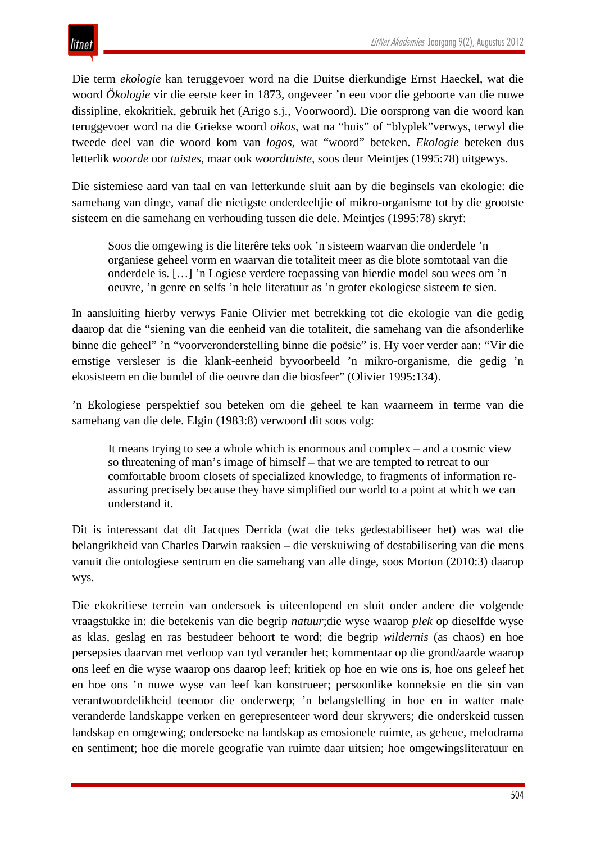## itnet

Die term *ekologie* kan teruggevoer word na die Duitse dierkundige Ernst Haeckel, wat die woord *Ökologie* vir die eerste keer in 1873, ongeveer 'n eeu voor die geboorte van die nuwe dissipline, ekokritiek, gebruik het (Arigo s.j., Voorwoord). Die oorsprong van die woord kan teruggevoer word na die Griekse woord *oikos*, wat na "huis" of "blyplek"verwys, terwyl die tweede deel van die woord kom van *logos,* wat "woord" beteken. *Ekologie* beteken dus letterlik *woorde* oor *tuistes,* maar ook *woordtuiste,* soos deur Meintjes (1995:78) uitgewys.

Die sistemiese aard van taal en van letterkunde sluit aan by die beginsels van ekologie: die samehang van dinge, vanaf die nietigste onderdeeltjie of mikro-organisme tot by die grootste sisteem en die samehang en verhouding tussen die dele. Meintjes (1995:78) skryf:

Soos die omgewing is die literêre teks ook 'n sisteem waarvan die onderdele 'n organiese geheel vorm en waarvan die totaliteit meer as die blote somtotaal van die onderdele is. […] 'n Logiese verdere toepassing van hierdie model sou wees om 'n oeuvre, 'n genre en selfs 'n hele literatuur as 'n groter ekologiese sisteem te sien.

In aansluiting hierby verwys Fanie Olivier met betrekking tot die ekologie van die gedig daarop dat die "siening van die eenheid van die totaliteit, die samehang van die afsonderlike binne die geheel" 'n "voorveronderstelling binne die poësie" is. Hy voer verder aan: "Vir die ernstige versleser is die klank-eenheid byvoorbeeld 'n mikro-organisme, die gedig 'n ekosisteem en die bundel of die oeuvre dan die biosfeer" (Olivier 1995:134).

'n Ekologiese perspektief sou beteken om die geheel te kan waarneem in terme van die samehang van die dele. Elgin (1983:8) verwoord dit soos volg:

It means trying to see a whole which is enormous and complex – and a cosmic view so threatening of man's image of himself – that we are tempted to retreat to our comfortable broom closets of specialized knowledge, to fragments of information reassuring precisely because they have simplified our world to a point at which we can understand it.

Dit is interessant dat dit Jacques Derrida (wat die teks gedestabiliseer het) was wat die belangrikheid van Charles Darwin raaksien – die verskuiwing of destabilisering van die mens vanuit die ontologiese sentrum en die samehang van alle dinge, soos Morton (2010:3) daarop wys.

Die ekokritiese terrein van ondersoek is uiteenlopend en sluit onder andere die volgende vraagstukke in: die betekenis van die begrip *natuur*;die wyse waarop *plek* op dieselfde wyse as klas, geslag en ras bestudeer behoort te word; die begrip *wildernis* (as chaos) en hoe persepsies daarvan met verloop van tyd verander het; kommentaar op die grond/aarde waarop ons leef en die wyse waarop ons daarop leef; kritiek op hoe en wie ons is, hoe ons geleef het en hoe ons 'n nuwe wyse van leef kan konstrueer; persoonlike konneksie en die sin van verantwoordelikheid teenoor die onderwerp; 'n belangstelling in hoe en in watter mate veranderde landskappe verken en gerepresenteer word deur skrywers; die onderskeid tussen landskap en omgewing; ondersoeke na landskap as emosionele ruimte, as geheue, melodrama en sentiment; hoe die morele geografie van ruimte daar uitsien; hoe omgewingsliteratuur en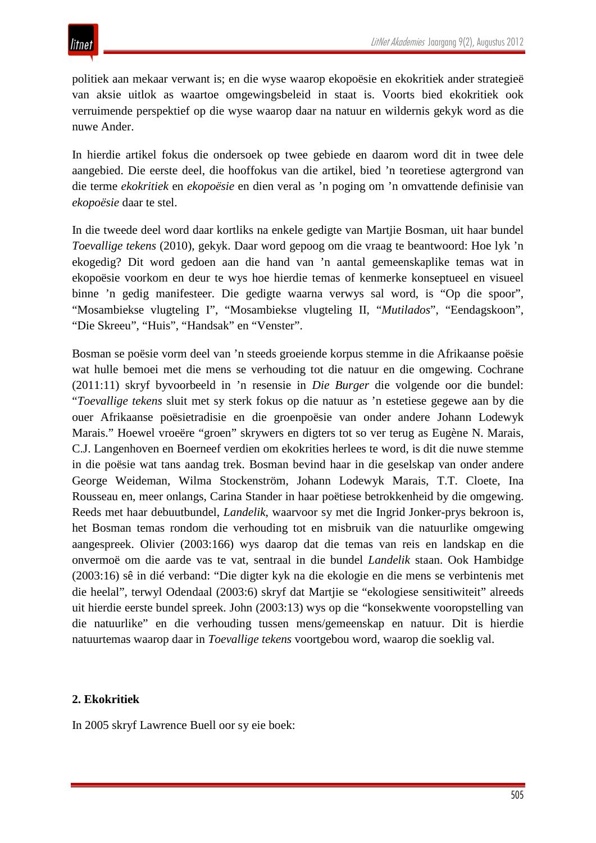politiek aan mekaar verwant is; en die wyse waarop ekopoësie en ekokritiek ander strategieë van aksie uitlok as waartoe omgewingsbeleid in staat is. Voorts bied ekokritiek ook verruimende perspektief op die wyse waarop daar na natuur en wildernis gekyk word as die nuwe Ander.

In hierdie artikel fokus die ondersoek op twee gebiede en daarom word dit in twee dele aangebied. Die eerste deel, die hooffokus van die artikel, bied 'n teoretiese agtergrond van die terme *ekokritiek* en *ekopoësie* en dien veral as 'n poging om 'n omvattende definisie van *ekopoësie* daar te stel.

In die tweede deel word daar kortliks na enkele gedigte van Martjie Bosman, uit haar bundel *Toevallige tekens* (2010), gekyk. Daar word gepoog om die vraag te beantwoord: Hoe lyk 'n ekogedig? Dit word gedoen aan die hand van 'n aantal gemeenskaplike temas wat in ekopoësie voorkom en deur te wys hoe hierdie temas of kenmerke konseptueel en visueel binne 'n gedig manifesteer. Die gedigte waarna verwys sal word, is "Op die spoor", "Mosambiekse vlugteling I", "Mosambiekse vlugteling II, "*Mutilados*", "Eendagskoon", "Die Skreeu", "Huis", "Handsak" en "Venster".

Bosman se poësie vorm deel van 'n steeds groeiende korpus stemme in die Afrikaanse poësie wat hulle bemoei met die mens se verhouding tot die natuur en die omgewing. Cochrane (2011:11) skryf byvoorbeeld in 'n resensie in *Die Burger* die volgende oor die bundel: "*Toevallige tekens* sluit met sy sterk fokus op die natuur as 'n estetiese gegewe aan by die ouer Afrikaanse poësietradisie en die groenpoësie van onder andere Johann Lodewyk Marais." Hoewel vroeëre "groen" skrywers en digters tot so ver terug as Eugène N. Marais, C.J. Langenhoven en Boerneef verdien om ekokrities herlees te word, is dit die nuwe stemme in die poësie wat tans aandag trek. Bosman bevind haar in die geselskap van onder andere George Weideman, Wilma Stockenström, Johann Lodewyk Marais, T.T. Cloete, Ina Rousseau en, meer onlangs, Carina Stander in haar poëtiese betrokkenheid by die omgewing. Reeds met haar debuutbundel, *Landelik*, waarvoor sy met die Ingrid Jonker-prys bekroon is, het Bosman temas rondom die verhouding tot en misbruik van die natuurlike omgewing aangespreek. Olivier (2003:166) wys daarop dat die temas van reis en landskap en die onvermoë om die aarde vas te vat, sentraal in die bundel *Landelik* staan. Ook Hambidge (2003:16) sê in dié verband: "Die digter kyk na die ekologie en die mens se verbintenis met die heelal", terwyl Odendaal (2003:6) skryf dat Martjie se "ekologiese sensitiwiteit" alreeds uit hierdie eerste bundel spreek. John (2003:13) wys op die "konsekwente vooropstelling van die natuurlike" en die verhouding tussen mens/gemeenskap en natuur. Dit is hierdie natuurtemas waarop daar in *Toevallige tekens* voortgebou word, waarop die soeklig val.

## **2. Ekokritiek**

In 2005 skryf Lawrence Buell oor sy eie boek: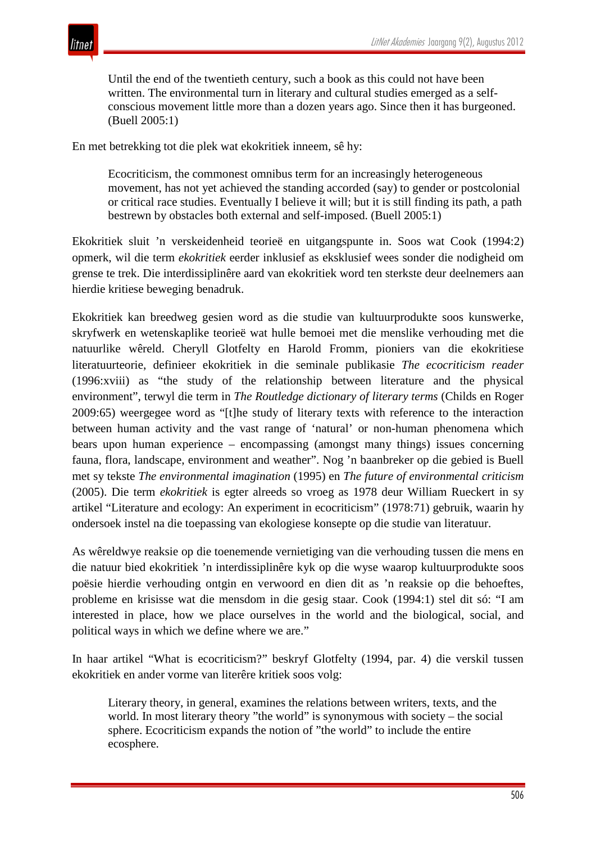Until the end of the twentieth century, such a book as this could not have been written. The environmental turn in literary and cultural studies emerged as a selfconscious movement little more than a dozen years ago. Since then it has burgeoned. (Buell 2005:1)

En met betrekking tot die plek wat ekokritiek inneem, sê hy:

Ecocriticism, the commonest omnibus term for an increasingly heterogeneous movement, has not yet achieved the standing accorded (say) to gender or postcolonial or critical race studies. Eventually I believe it will; but it is still finding its path, a path bestrewn by obstacles both external and self-imposed. (Buell 2005:1)

Ekokritiek sluit 'n verskeidenheid teorieë en uitgangspunte in. Soos wat Cook (1994:2) opmerk, wil die term *ekokritiek* eerder inklusief as eksklusief wees sonder die nodigheid om grense te trek. Die interdissiplinêre aard van ekokritiek word ten sterkste deur deelnemers aan hierdie kritiese beweging benadruk.

Ekokritiek kan breedweg gesien word as die studie van kultuurprodukte soos kunswerke, skryfwerk en wetenskaplike teorieë wat hulle bemoei met die menslike verhouding met die natuurlike wêreld. Cheryll Glotfelty en Harold Fromm, pioniers van die ekokritiese literatuurteorie, definieer ekokritiek in die seminale publikasie *The ecocriticism reader*  (1996:xviii) as "the study of the relationship between literature and the physical environment", terwyl die term in *The Routledge dictionary of literary terms* (Childs en Roger 2009:65) weergegee word as "[t]he study of literary texts with reference to the interaction between human activity and the vast range of 'natural' or non-human phenomena which bears upon human experience – encompassing (amongst many things) issues concerning fauna, flora, landscape, environment and weather". Nog 'n baanbreker op die gebied is Buell met sy tekste *The environmental imagination* (1995) en *The future of environmental criticism*  (2005). Die term *ekokritiek* is egter alreeds so vroeg as 1978 deur William Rueckert in sy artikel "Literature and ecology: An experiment in ecocriticism" (1978:71) gebruik, waarin hy ondersoek instel na die toepassing van ekologiese konsepte op die studie van literatuur.

As wêreldwye reaksie op die toenemende vernietiging van die verhouding tussen die mens en die natuur bied ekokritiek 'n interdissiplinêre kyk op die wyse waarop kultuurprodukte soos poësie hierdie verhouding ontgin en verwoord en dien dit as 'n reaksie op die behoeftes, probleme en krisisse wat die mensdom in die gesig staar. Cook (1994:1) stel dit só: "I am interested in place, how we place ourselves in the world and the biological, social, and political ways in which we define where we are."

In haar artikel "What is ecocriticism?" beskryf Glotfelty (1994, par. 4) die verskil tussen ekokritiek en ander vorme van literêre kritiek soos volg:

Literary theory, in general, examines the relations between writers, texts, and the world. In most literary theory "the world" is synonymous with society – the social sphere. Ecocriticism expands the notion of "the world" to include the entire ecosphere.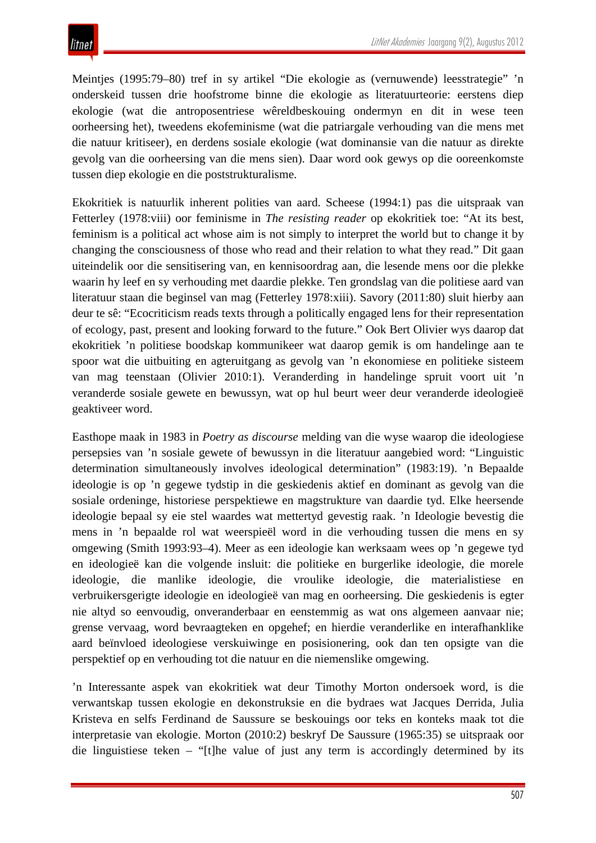Meintjes (1995:79–80) tref in sy artikel "Die ekologie as (vernuwende) leesstrategie" 'n onderskeid tussen drie hoofstrome binne die ekologie as literatuurteorie: eerstens diep ekologie (wat die antroposentriese wêreldbeskouing ondermyn en dit in wese teen oorheersing het), tweedens ekofeminisme (wat die patriargale verhouding van die mens met die natuur kritiseer), en derdens sosiale ekologie (wat dominansie van die natuur as direkte gevolg van die oorheersing van die mens sien). Daar word ook gewys op die ooreenkomste tussen diep ekologie en die poststrukturalisme.

Ekokritiek is natuurlik inherent polities van aard. Scheese (1994:1) pas die uitspraak van Fetterley (1978:viii) oor feminisme in *The resisting reader* op ekokritiek toe: "At its best, feminism is a political act whose aim is not simply to interpret the world but to change it by changing the consciousness of those who read and their relation to what they read." Dit gaan uiteindelik oor die sensitisering van, en kennisoordrag aan, die lesende mens oor die plekke waarin hy leef en sy verhouding met daardie plekke. Ten grondslag van die politiese aard van literatuur staan die beginsel van mag (Fetterley 1978:xiii). Savory (2011:80) sluit hierby aan deur te sê: "Ecocriticism reads texts through a politically engaged lens for their representation of ecology, past, present and looking forward to the future." Ook Bert Olivier wys daarop dat ekokritiek 'n politiese boodskap kommunikeer wat daarop gemik is om handelinge aan te spoor wat die uitbuiting en agteruitgang as gevolg van 'n ekonomiese en politieke sisteem van mag teenstaan (Olivier 2010:1). Veranderding in handelinge spruit voort uit 'n veranderde sosiale gewete en bewussyn, wat op hul beurt weer deur veranderde ideologieë geaktiveer word.

Easthope maak in 1983 in *Poetry as discourse* melding van die wyse waarop die ideologiese persepsies van 'n sosiale gewete of bewussyn in die literatuur aangebied word: "Linguistic determination simultaneously involves ideological determination" (1983:19). 'n Bepaalde ideologie is op 'n gegewe tydstip in die geskiedenis aktief en dominant as gevolg van die sosiale ordeninge, historiese perspektiewe en magstrukture van daardie tyd. Elke heersende ideologie bepaal sy eie stel waardes wat mettertyd gevestig raak. 'n Ideologie bevestig die mens in 'n bepaalde rol wat weerspieël word in die verhouding tussen die mens en sy omgewing (Smith 1993:93–4). Meer as een ideologie kan werksaam wees op 'n gegewe tyd en ideologieë kan die volgende insluit: die politieke en burgerlike ideologie, die morele ideologie, die manlike ideologie, die vroulike ideologie, die materialistiese en verbruikersgerigte ideologie en ideologieë van mag en oorheersing. Die geskiedenis is egter nie altyd so eenvoudig, onveranderbaar en eenstemmig as wat ons algemeen aanvaar nie; grense vervaag, word bevraagteken en opgehef; en hierdie veranderlike en interafhanklike aard beïnvloed ideologiese verskuiwinge en posisionering, ook dan ten opsigte van die perspektief op en verhouding tot die natuur en die niemenslike omgewing.

'n Interessante aspek van ekokritiek wat deur Timothy Morton ondersoek word, is die verwantskap tussen ekologie en dekonstruksie en die bydraes wat Jacques Derrida, Julia Kristeva en selfs Ferdinand de Saussure se beskouings oor teks en konteks maak tot die interpretasie van ekologie. Morton (2010:2) beskryf De Saussure (1965:35) se uitspraak oor die linguistiese teken – "[t]he value of just any term is accordingly determined by its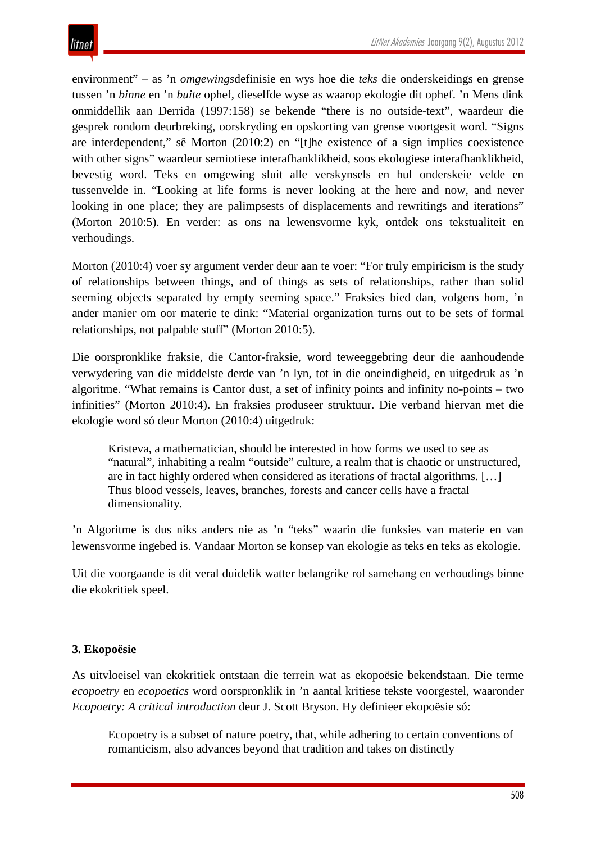environment" – as 'n *omgewings*definisie en wys hoe die *teks* die onderskeidings en grense tussen 'n *binne* en 'n *buite* ophef, dieselfde wyse as waarop ekologie dit ophef. 'n Mens dink onmiddellik aan Derrida (1997:158) se bekende "there is no outside-text", waardeur die gesprek rondom deurbreking, oorskryding en opskorting van grense voortgesit word. "Signs are interdependent," sê Morton (2010:2) en "[t]he existence of a sign implies coexistence with other signs" waardeur semiotiese interafhanklikheid, soos ekologiese interafhanklikheid, bevestig word. Teks en omgewing sluit alle verskynsels en hul onderskeie velde en tussenvelde in. "Looking at life forms is never looking at the here and now, and never looking in one place; they are palimpsests of displacements and rewritings and iterations" (Morton 2010:5). En verder: as ons na lewensvorme kyk, ontdek ons tekstualiteit en verhoudings.

Morton (2010:4) voer sy argument verder deur aan te voer: "For truly empiricism is the study of relationships between things, and of things as sets of relationships, rather than solid seeming objects separated by empty seeming space." Fraksies bied dan, volgens hom, 'n ander manier om oor materie te dink: "Material organization turns out to be sets of formal relationships, not palpable stuff" (Morton 2010:5).

Die oorspronklike fraksie, die Cantor-fraksie, word teweeggebring deur die aanhoudende verwydering van die middelste derde van 'n lyn, tot in die oneindigheid, en uitgedruk as 'n algoritme. "What remains is Cantor dust, a set of infinity points and infinity no-points – two infinities" (Morton 2010:4). En fraksies produseer struktuur. Die verband hiervan met die ekologie word só deur Morton (2010:4) uitgedruk:

Kristeva, a mathematician, should be interested in how forms we used to see as "natural", inhabiting a realm "outside" culture, a realm that is chaotic or unstructured, are in fact highly ordered when considered as iterations of fractal algorithms. […] Thus blood vessels, leaves, branches, forests and cancer cells have a fractal dimensionality.

'n Algoritme is dus niks anders nie as 'n "teks" waarin die funksies van materie en van lewensvorme ingebed is. Vandaar Morton se konsep van ekologie as teks en teks as ekologie.

Uit die voorgaande is dit veral duidelik watter belangrike rol samehang en verhoudings binne die ekokritiek speel.

## **3. Ekopoësie**

As uitvloeisel van ekokritiek ontstaan die terrein wat as ekopoësie bekendstaan. Die terme *ecopoetry* en *ecopoetics* word oorspronklik in 'n aantal kritiese tekste voorgestel, waaronder *Ecopoetry: A critical introduction* deur J. Scott Bryson. Hy definieer ekopoësie só:

Ecopoetry is a subset of nature poetry, that, while adhering to certain conventions of romanticism, also advances beyond that tradition and takes on distinctly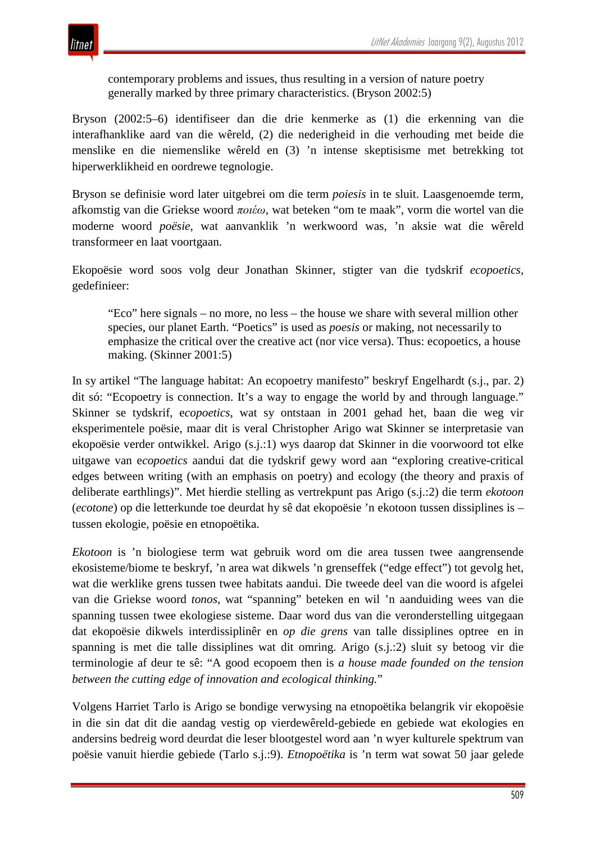contemporary problems and issues, thus resulting in a version of nature poetry generally marked by three primary characteristics. (Bryson 2002:5)

Bryson (2002:5–6) identifiseer dan die drie kenmerke as (1) die erkenning van die interafhanklike aard van die wêreld, (2) die nederigheid in die verhouding met beide die menslike en die niemenslike wêreld en (3) 'n intense skeptisisme met betrekking tot hiperwerklikheid en oordrewe tegnologie.

Bryson se definisie word later uitgebrei om die term *poiesis* in te sluit. Laasgenoemde term, afkomstig van die Griekse woord *ποιέω*, wat beteken "om te maak", vorm die wortel van die moderne woord *poësie*, wat aanvanklik 'n werkwoord was, 'n aksie wat die wêreld transformeer en laat voortgaan.

Ekopoësie word soos volg deur Jonathan Skinner, stigter van die tydskrif *ecopoetics*, gedefinieer:

"Eco" here signals – no more, no less – the house we share with several million other species, our planet Earth. "Poetics" is used as *poesis* or making, not necessarily to emphasize the critical over the creative act (nor vice versa). Thus: ecopoetics, a house making. (Skinner 2001:5)

In sy artikel "The language habitat: An ecopoetry manifesto" beskryf Engelhardt (s.j., par. 2) dit só: "Ecopoetry is connection. It's a way to engage the world by and through language." Skinner se tydskrif, e*copoetics*, wat sy ontstaan in 2001 gehad het, baan die weg vir eksperimentele poësie, maar dit is veral Christopher Arigo wat Skinner se interpretasie van ekopoësie verder ontwikkel. Arigo (s.j.:1) wys daarop dat Skinner in die voorwoord tot elke uitgawe van e*copoetics* aandui dat die tydskrif gewy word aan "exploring creative-critical edges between writing (with an emphasis on poetry) and ecology (the theory and praxis of deliberate earthlings)". Met hierdie stelling as vertrekpunt pas Arigo (s.j.:2) die term *ekotoon* (*ecotone*) op die letterkunde toe deurdat hy sê dat ekopoësie 'n ekotoon tussen dissiplines is – tussen ekologie, poësie en etnopoëtika.

*Ekotoon* is 'n biologiese term wat gebruik word om die area tussen twee aangrensende ekosisteme/biome te beskryf, 'n area wat dikwels 'n grenseffek ("edge effect") tot gevolg het, wat die werklike grens tussen twee habitats aandui. Die tweede deel van die woord is afgelei van die Griekse woord *tonos*, wat "spanning" beteken en wil 'n aanduiding wees van die spanning tussen twee ekologiese sisteme. Daar word dus van die veronderstelling uitgegaan dat ekopoësie dikwels interdissiplinêr en *op die grens* van talle dissiplines optree en in spanning is met die talle dissiplines wat dit omring. Arigo (s.j.:2) sluit sy betoog vir die terminologie af deur te sê: "A good ecopoem then is *a house made founded on the tension between the cutting edge of innovation and ecological thinking.*"

Volgens Harriet Tarlo is Arigo se bondige verwysing na etnopoëtika belangrik vir ekopoësie in die sin dat dit die aandag vestig op vierdewêreld-gebiede en gebiede wat ekologies en andersins bedreig word deurdat die leser blootgestel word aan 'n wyer kulturele spektrum van poësie vanuit hierdie gebiede (Tarlo s.j.:9). *Etnopoëtika* is 'n term wat sowat 50 jaar gelede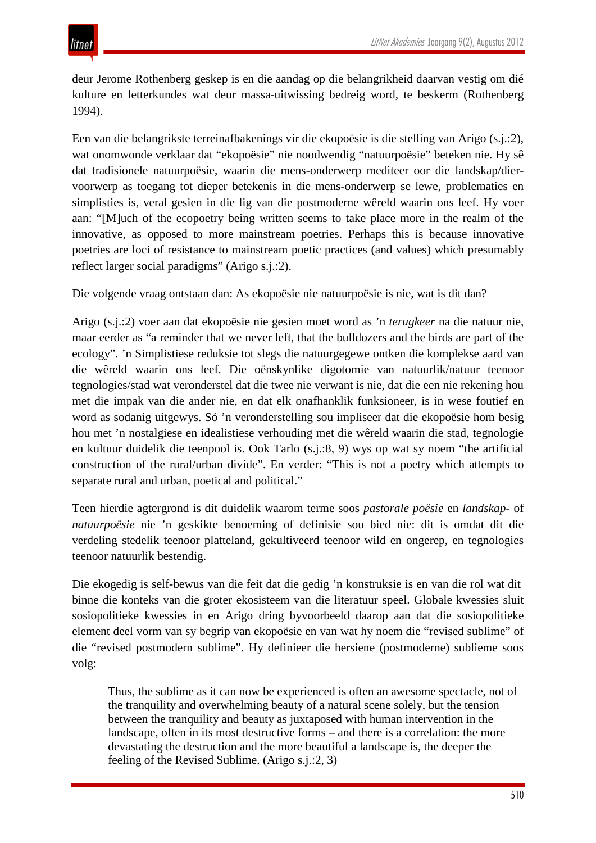deur Jerome Rothenberg geskep is en die aandag op die belangrikheid daarvan vestig om dié kulture en letterkundes wat deur massa-uitwissing bedreig word, te beskerm (Rothenberg 1994).

Een van die belangrikste terreinafbakenings vir die ekopoësie is die stelling van Arigo (s.j.:2), wat onomwonde verklaar dat "ekopoësie" nie noodwendig "natuurpoësie" beteken nie. Hy sê dat tradisionele natuurpoësie, waarin die mens-onderwerp mediteer oor die landskap/diervoorwerp as toegang tot dieper betekenis in die mens-onderwerp se lewe, problematies en simplisties is, veral gesien in die lig van die postmoderne wêreld waarin ons leef. Hy voer aan: "[M]uch of the ecopoetry being written seems to take place more in the realm of the innovative, as opposed to more mainstream poetries. Perhaps this is because innovative poetries are loci of resistance to mainstream poetic practices (and values) which presumably reflect larger social paradigms" (Arigo s.j.:2).

Die volgende vraag ontstaan dan: As ekopoësie nie natuurpoësie is nie, wat is dit dan?

Arigo (s.j.:2) voer aan dat ekopoësie nie gesien moet word as 'n *terugkeer* na die natuur nie, maar eerder as "a reminder that we never left, that the bulldozers and the birds are part of the ecology". 'n Simplistiese reduksie tot slegs die natuurgegewe ontken die komplekse aard van die wêreld waarin ons leef. Die oënskynlike digotomie van natuurlik/natuur teenoor tegnologies/stad wat veronderstel dat die twee nie verwant is nie, dat die een nie rekening hou met die impak van die ander nie, en dat elk onafhanklik funksioneer, is in wese foutief en word as sodanig uitgewys. Só 'n veronderstelling sou impliseer dat die ekopoësie hom besig hou met 'n nostalgiese en idealistiese verhouding met die wêreld waarin die stad, tegnologie en kultuur duidelik die teenpool is. Ook Tarlo (s.j.:8, 9) wys op wat sy noem "the artificial construction of the rural/urban divide". En verder: "This is not a poetry which attempts to separate rural and urban, poetical and political."

Teen hierdie agtergrond is dit duidelik waarom terme soos *pastorale poësie* en *landskap-* of *natuurpoësie* nie 'n geskikte benoeming of definisie sou bied nie: dit is omdat dit die verdeling stedelik teenoor platteland, gekultiveerd teenoor wild en ongerep, en tegnologies teenoor natuurlik bestendig.

Die ekogedig is self-bewus van die feit dat die gedig 'n konstruksie is en van die rol wat dit binne die konteks van die groter ekosisteem van die literatuur speel. Globale kwessies sluit sosiopolitieke kwessies in en Arigo dring byvoorbeeld daarop aan dat die sosiopolitieke element deel vorm van sy begrip van ekopoësie en van wat hy noem die "revised sublime" of die "revised postmodern sublime". Hy definieer die hersiene (postmoderne) sublieme soos volg:

Thus, the sublime as it can now be experienced is often an awesome spectacle, not of the tranquility and overwhelming beauty of a natural scene solely, but the tension between the tranquility and beauty as juxtaposed with human intervention in the landscape, often in its most destructive forms – and there is a correlation: the more devastating the destruction and the more beautiful a landscape is, the deeper the feeling of the Revised Sublime. (Arigo s.j.:2, 3)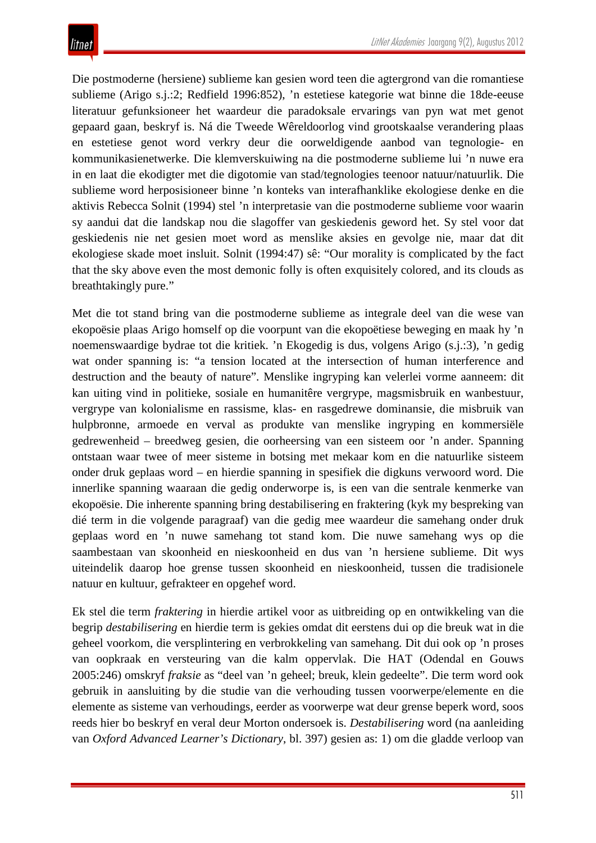Die postmoderne (hersiene) sublieme kan gesien word teen die agtergrond van die romantiese sublieme (Arigo s.j.:2; Redfield 1996:852), 'n estetiese kategorie wat binne die 18de-eeuse literatuur gefunksioneer het waardeur die paradoksale ervarings van pyn wat met genot gepaard gaan, beskryf is. Ná die Tweede Wêreldoorlog vind grootskaalse verandering plaas en estetiese genot word verkry deur die oorweldigende aanbod van tegnologie- en kommunikasienetwerke. Die klemverskuiwing na die postmoderne sublieme lui 'n nuwe era in en laat die ekodigter met die digotomie van stad/tegnologies teenoor natuur/natuurlik. Die sublieme word herposisioneer binne 'n konteks van interafhanklike ekologiese denke en die aktivis Rebecca Solnit (1994) stel 'n interpretasie van die postmoderne sublieme voor waarin sy aandui dat die landskap nou die slagoffer van geskiedenis geword het. Sy stel voor dat geskiedenis nie net gesien moet word as menslike aksies en gevolge nie, maar dat dit ekologiese skade moet insluit. Solnit (1994:47) sê: "Our morality is complicated by the fact that the sky above even the most demonic folly is often exquisitely colored, and its clouds as breathtakingly pure."

Met die tot stand bring van die postmoderne sublieme as integrale deel van die wese van ekopoësie plaas Arigo homself op die voorpunt van die ekopoëtiese beweging en maak hy 'n noemenswaardige bydrae tot die kritiek. 'n Ekogedig is dus, volgens Arigo (s.j.:3), 'n gedig wat onder spanning is: "a tension located at the intersection of human interference and destruction and the beauty of nature". Menslike ingryping kan velerlei vorme aanneem: dit kan uiting vind in politieke, sosiale en humanitêre vergrype, magsmisbruik en wanbestuur, vergrype van kolonialisme en rassisme, klas- en rasgedrewe dominansie, die misbruik van hulpbronne, armoede en verval as produkte van menslike ingryping en kommersiële gedrewenheid – breedweg gesien, die oorheersing van een sisteem oor 'n ander. Spanning ontstaan waar twee of meer sisteme in botsing met mekaar kom en die natuurlike sisteem onder druk geplaas word – en hierdie spanning in spesifiek die digkuns verwoord word. Die innerlike spanning waaraan die gedig onderworpe is, is een van die sentrale kenmerke van ekopoësie. Die inherente spanning bring destabilisering en fraktering (kyk my bespreking van dié term in die volgende paragraaf) van die gedig mee waardeur die samehang onder druk geplaas word en 'n nuwe samehang tot stand kom. Die nuwe samehang wys op die saambestaan van skoonheid en nieskoonheid en dus van 'n hersiene sublieme. Dit wys uiteindelik daarop hoe grense tussen skoonheid en nieskoonheid, tussen die tradisionele natuur en kultuur, gefrakteer en opgehef word.

Ek stel die term *fraktering* in hierdie artikel voor as uitbreiding op en ontwikkeling van die begrip *destabilisering* en hierdie term is gekies omdat dit eerstens dui op die breuk wat in die geheel voorkom, die versplintering en verbrokkeling van samehang. Dit dui ook op 'n proses van oopkraak en versteuring van die kalm oppervlak. Die HAT (Odendal en Gouws 2005:246) omskryf *fraksie* as "deel van 'n geheel; breuk, klein gedeelte". Die term word ook gebruik in aansluiting by die studie van die verhouding tussen voorwerpe/elemente en die elemente as sisteme van verhoudings, eerder as voorwerpe wat deur grense beperk word, soos reeds hier bo beskryf en veral deur Morton ondersoek is. *Destabilisering* word (na aanleiding van *Oxford Advanced Learner's Dictionary*, bl. 397) gesien as: 1) om die gladde verloop van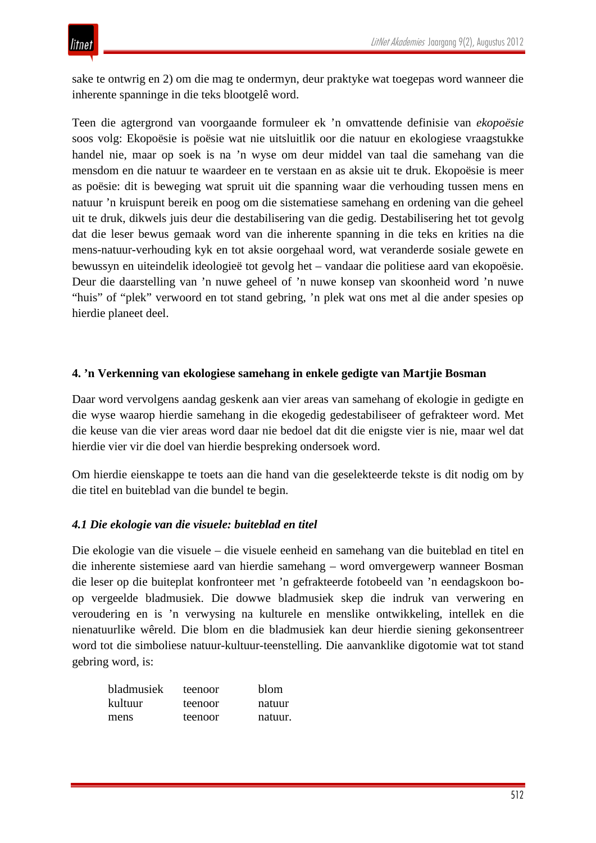sake te ontwrig en 2) om die mag te ondermyn, deur praktyke wat toegepas word wanneer die inherente spanninge in die teks blootgelê word.

Teen die agtergrond van voorgaande formuleer ek 'n omvattende definisie van *ekopoësie* soos volg: Ekopoësie is poësie wat nie uitsluitlik oor die natuur en ekologiese vraagstukke handel nie, maar op soek is na 'n wyse om deur middel van taal die samehang van die mensdom en die natuur te waardeer en te verstaan en as aksie uit te druk. Ekopoësie is meer as poësie: dit is beweging wat spruit uit die spanning waar die verhouding tussen mens en natuur 'n kruispunt bereik en poog om die sistematiese samehang en ordening van die geheel uit te druk, dikwels juis deur die destabilisering van die gedig. Destabilisering het tot gevolg dat die leser bewus gemaak word van die inherente spanning in die teks en krities na die mens-natuur-verhouding kyk en tot aksie oorgehaal word, wat veranderde sosiale gewete en bewussyn en uiteindelik ideologieë tot gevolg het – vandaar die politiese aard van ekopoësie. Deur die daarstelling van 'n nuwe geheel of 'n nuwe konsep van skoonheid word 'n nuwe "huis" of "plek" verwoord en tot stand gebring, 'n plek wat ons met al die ander spesies op hierdie planeet deel.

## **4. 'n Verkenning van ekologiese samehang in enkele gedigte van Martjie Bosman**

Daar word vervolgens aandag geskenk aan vier areas van samehang of ekologie in gedigte en die wyse waarop hierdie samehang in die ekogedig gedestabiliseer of gefrakteer word. Met die keuse van die vier areas word daar nie bedoel dat dit die enigste vier is nie, maar wel dat hierdie vier vir die doel van hierdie bespreking ondersoek word.

Om hierdie eienskappe te toets aan die hand van die geselekteerde tekste is dit nodig om by die titel en buiteblad van die bundel te begin.

## *4.1 Die ekologie van die visuele: buiteblad en titel*

Die ekologie van die visuele – die visuele eenheid en samehang van die buiteblad en titel en die inherente sistemiese aard van hierdie samehang – word omvergewerp wanneer Bosman die leser op die buiteplat konfronteer met 'n gefrakteerde fotobeeld van 'n eendagskoon boop vergeelde bladmusiek. Die dowwe bladmusiek skep die indruk van verwering en veroudering en is 'n verwysing na kulturele en menslike ontwikkeling, intellek en die nienatuurlike wêreld. Die blom en die bladmusiek kan deur hierdie siening gekonsentreer word tot die simboliese natuur-kultuur-teenstelling. Die aanvanklike digotomie wat tot stand gebring word, is:

| bladmusiek | teenoor | <b>blom</b> |
|------------|---------|-------------|
| kultuur.   | teenoor | natuur      |
| mens       | teenoor | natuur.     |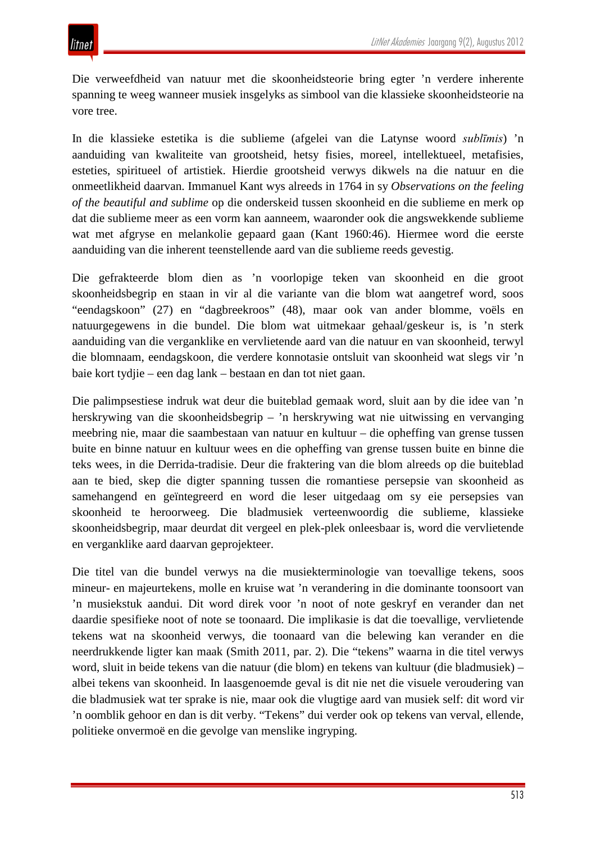Die verweefdheid van natuur met die skoonheidsteorie bring egter 'n verdere inherente spanning te weeg wanneer musiek insgelyks as simbool van die klassieke skoonheidsteorie na vore tree.

In die klassieke estetika is die sublieme (afgelei van die Latynse woord *sublīmis*) 'n aanduiding van kwaliteite van grootsheid, hetsy fisies, moreel, intellektueel, metafisies, esteties, spiritueel of artistiek. Hierdie grootsheid verwys dikwels na die natuur en die onmeetlikheid daarvan. Immanuel Kant wys alreeds in 1764 in sy *Observations on the feeling of the beautiful and sublime* op die onderskeid tussen skoonheid en die sublieme en merk op dat die sublieme meer as een vorm kan aanneem, waaronder ook die angswekkende sublieme wat met afgryse en melankolie gepaard gaan (Kant 1960:46). Hiermee word die eerste aanduiding van die inherent teenstellende aard van die sublieme reeds gevestig.

Die gefrakteerde blom dien as 'n voorlopige teken van skoonheid en die groot skoonheidsbegrip en staan in vir al die variante van die blom wat aangetref word, soos "eendagskoon" (27) en "dagbreekroos" (48), maar ook van ander blomme, voëls en natuurgegewens in die bundel. Die blom wat uitmekaar gehaal/geskeur is, is 'n sterk aanduiding van die verganklike en vervlietende aard van die natuur en van skoonheid, terwyl die blomnaam, eendagskoon, die verdere konnotasie ontsluit van skoonheid wat slegs vir 'n baie kort tydjie – een dag lank – bestaan en dan tot niet gaan.

Die palimpsestiese indruk wat deur die buiteblad gemaak word, sluit aan by die idee van 'n herskrywing van die skoonheidsbegrip – 'n herskrywing wat nie uitwissing en vervanging meebring nie, maar die saambestaan van natuur en kultuur – die opheffing van grense tussen buite en binne natuur en kultuur wees en die opheffing van grense tussen buite en binne die teks wees, in die Derrida-tradisie. Deur die fraktering van die blom alreeds op die buiteblad aan te bied, skep die digter spanning tussen die romantiese persepsie van skoonheid as samehangend en geïntegreerd en word die leser uitgedaag om sy eie persepsies van skoonheid te heroorweeg. Die bladmusiek verteenwoordig die sublieme, klassieke skoonheidsbegrip, maar deurdat dit vergeel en plek-plek onleesbaar is, word die vervlietende en verganklike aard daarvan geprojekteer.

Die titel van die bundel verwys na die musiekterminologie van toevallige tekens, soos mineur- en majeurtekens, molle en kruise wat 'n verandering in die dominante toonsoort van 'n musiekstuk aandui. Dit word direk voor 'n noot of note geskryf en verander dan net daardie spesifieke noot of note se toonaard. Die implikasie is dat die toevallige, vervlietende tekens wat na skoonheid verwys, die toonaard van die belewing kan verander en die neerdrukkende ligter kan maak (Smith 2011, par. 2). Die "tekens" waarna in die titel verwys word, sluit in beide tekens van die natuur (die blom) en tekens van kultuur (die bladmusiek) – albei tekens van skoonheid. In laasgenoemde geval is dit nie net die visuele veroudering van die bladmusiek wat ter sprake is nie, maar ook die vlugtige aard van musiek self: dit word vir 'n oomblik gehoor en dan is dit verby. "Tekens" dui verder ook op tekens van verval, ellende, politieke onvermoë en die gevolge van menslike ingryping.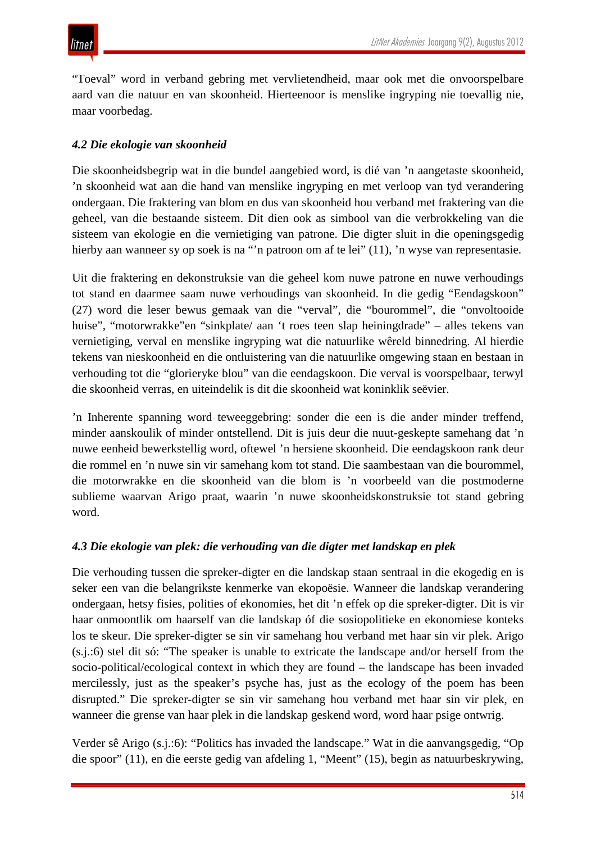"Toeval" word in verband gebring met vervlietendheid, maar ook met die onvoorspelbare aard van die natuur en van skoonheid. Hierteenoor is menslike ingryping nie toevallig nie, maar voorbedag.

## *4.2 Die ekologie van skoonheid*

Die skoonheidsbegrip wat in die bundel aangebied word, is dié van 'n aangetaste skoonheid, 'n skoonheid wat aan die hand van menslike ingryping en met verloop van tyd verandering ondergaan. Die fraktering van blom en dus van skoonheid hou verband met fraktering van die geheel, van die bestaande sisteem. Dit dien ook as simbool van die verbrokkeling van die sisteem van ekologie en die vernietiging van patrone. Die digter sluit in die openingsgedig hierby aan wanneer sy op soek is na "'n patroon om af te lei" (11), 'n wyse van representasie.

Uit die fraktering en dekonstruksie van die geheel kom nuwe patrone en nuwe verhoudings tot stand en daarmee saam nuwe verhoudings van skoonheid. In die gedig "Eendagskoon" (27) word die leser bewus gemaak van die "verval", die "bourommel", die "onvoltooide huise", "motorwrakke"en "sinkplate/ aan 't roes teen slap heiningdrade" – alles tekens van vernietiging, verval en menslike ingryping wat die natuurlike wêreld binnedring. Al hierdie tekens van nieskoonheid en die ontluistering van die natuurlike omgewing staan en bestaan in verhouding tot die "glorieryke blou" van die eendagskoon. Die verval is voorspelbaar, terwyl die skoonheid verras, en uiteindelik is dit die skoonheid wat koninklik seëvier.

'n Inherente spanning word teweeggebring: sonder die een is die ander minder treffend, minder aanskoulik of minder ontstellend. Dit is juis deur die nuut-geskepte samehang dat 'n nuwe eenheid bewerkstellig word, oftewel 'n hersiene skoonheid. Die eendagskoon rank deur die rommel en 'n nuwe sin vir samehang kom tot stand. Die saambestaan van die bourommel, die motorwrakke en die skoonheid van die blom is 'n voorbeeld van die postmoderne sublieme waarvan Arigo praat, waarin 'n nuwe skoonheidskonstruksie tot stand gebring word.

## *4.3 Die ekologie van plek: die verhouding van die digter met landskap en plek*

Die verhouding tussen die spreker-digter en die landskap staan sentraal in die ekogedig en is seker een van die belangrikste kenmerke van ekopoësie. Wanneer die landskap verandering ondergaan, hetsy fisies, polities of ekonomies, het dit 'n effek op die spreker-digter. Dit is vir haar onmoontlik om haarself van die landskap óf die sosiopolitieke en ekonomiese konteks los te skeur. Die spreker-digter se sin vir samehang hou verband met haar sin vir plek. Arigo (s.j.:6) stel dit só: "The speaker is unable to extricate the landscape and/or herself from the socio-political/ecological context in which they are found – the landscape has been invaded mercilessly, just as the speaker's psyche has, just as the ecology of the poem has been disrupted." Die spreker-digter se sin vir samehang hou verband met haar sin vir plek, en wanneer die grense van haar plek in die landskap geskend word, word haar psige ontwrig.

Verder sê Arigo (s.j.:6): "Politics has invaded the landscape." Wat in die aanvangsgedig, "Op die spoor" (11), en die eerste gedig van afdeling 1, "Meent" (15), begin as natuurbeskrywing,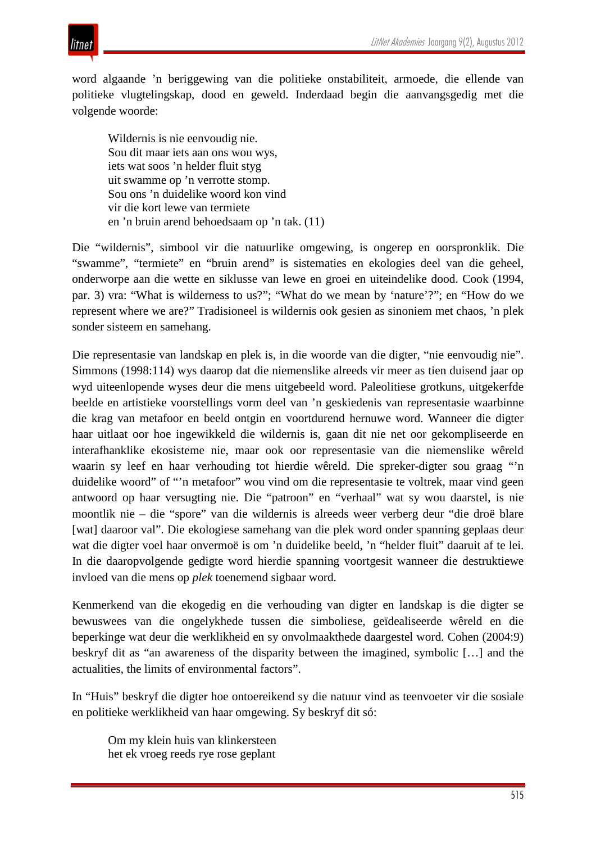



word algaande 'n beriggewing van die politieke onstabiliteit, armoede, die ellende van politieke vlugtelingskap, dood en geweld. Inderdaad begin die aanvangsgedig met die volgende woorde:

Wildernis is nie eenvoudig nie. Sou dit maar iets aan ons wou wys, iets wat soos 'n helder fluit styg uit swamme op 'n verrotte stomp. Sou ons 'n duidelike woord kon vind vir die kort lewe van termiete en 'n bruin arend behoedsaam op 'n tak. (11)

Die "wildernis", simbool vir die natuurlike omgewing, is ongerep en oorspronklik. Die "swamme", "termiete" en "bruin arend" is sistematies en ekologies deel van die geheel, onderworpe aan die wette en siklusse van lewe en groei en uiteindelike dood. Cook (1994, par. 3) vra: "What is wilderness to us?"; "What do we mean by 'nature'?"; en "How do we represent where we are?" Tradisioneel is wildernis ook gesien as sinoniem met chaos, 'n plek sonder sisteem en samehang.

Die representasie van landskap en plek is, in die woorde van die digter, "nie eenvoudig nie". Simmons (1998:114) wys daarop dat die niemenslike alreeds vir meer as tien duisend jaar op wyd uiteenlopende wyses deur die mens uitgebeeld word. Paleolitiese grotkuns, uitgekerfde beelde en artistieke voorstellings vorm deel van 'n geskiedenis van representasie waarbinne die krag van metafoor en beeld ontgin en voortdurend hernuwe word. Wanneer die digter haar uitlaat oor hoe ingewikkeld die wildernis is, gaan dit nie net oor gekompliseerde en interafhanklike ekosisteme nie, maar ook oor representasie van die niemenslike wêreld waarin sy leef en haar verhouding tot hierdie wêreld. Die spreker-digter sou graag "'n duidelike woord" of "'n metafoor" wou vind om die representasie te voltrek, maar vind geen antwoord op haar versugting nie. Die "patroon" en "verhaal" wat sy wou daarstel, is nie moontlik nie – die "spore" van die wildernis is alreeds weer verberg deur "die droë blare [wat] daaroor val". Die ekologiese samehang van die plek word onder spanning geplaas deur wat die digter voel haar onvermoë is om 'n duidelike beeld, 'n "helder fluit" daaruit af te lei. In die daaropvolgende gedigte word hierdie spanning voortgesit wanneer die destruktiewe invloed van die mens op *plek* toenemend sigbaar word.

Kenmerkend van die ekogedig en die verhouding van digter en landskap is die digter se bewuswees van die ongelykhede tussen die simboliese, geïdealiseerde wêreld en die beperkinge wat deur die werklikheid en sy onvolmaakthede daargestel word. Cohen (2004:9) beskryf dit as "an awareness of the disparity between the imagined, symbolic […] and the actualities, the limits of environmental factors".

In "Huis" beskryf die digter hoe ontoereikend sy die natuur vind as teenvoeter vir die sosiale en politieke werklikheid van haar omgewing. Sy beskryf dit só:

Om my klein huis van klinkersteen het ek vroeg reeds rye rose geplant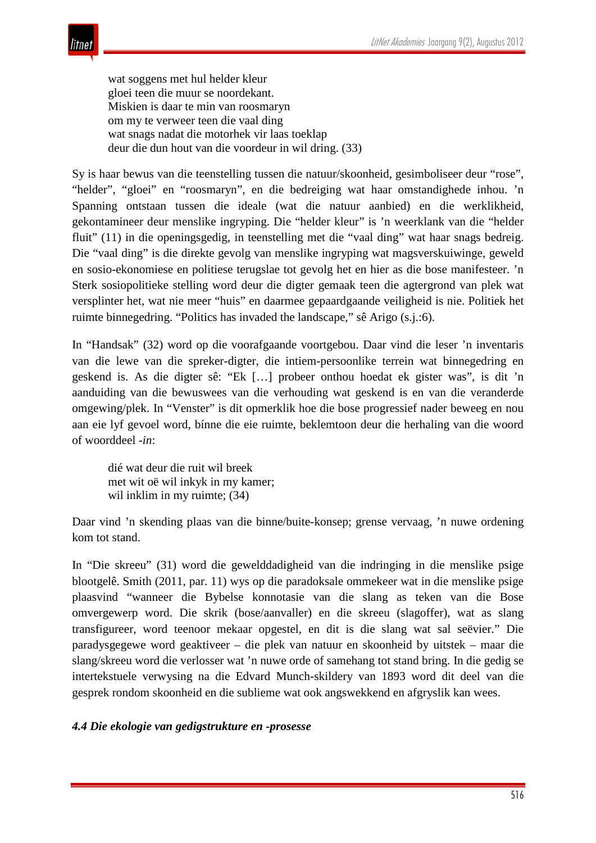wat soggens met hul helder kleur gloei teen die muur se noordekant. Miskien is daar te min van roosmaryn om my te verweer teen die vaal ding wat snags nadat die motorhek vir laas toeklap deur die dun hout van die voordeur in wil dring. (33)

Sy is haar bewus van die teenstelling tussen die natuur/skoonheid, gesimboliseer deur "rose", "helder", "gloei" en "roosmaryn", en die bedreiging wat haar omstandighede inhou. 'n Spanning ontstaan tussen die ideale (wat die natuur aanbied) en die werklikheid, gekontamineer deur menslike ingryping. Die "helder kleur" is 'n weerklank van die "helder fluit" (11) in die openingsgedig, in teenstelling met die "vaal ding" wat haar snags bedreig. Die "vaal ding" is die direkte gevolg van menslike ingryping wat magsverskuiwinge, geweld en sosio-ekonomiese en politiese terugslae tot gevolg het en hier as die bose manifesteer. 'n Sterk sosiopolitieke stelling word deur die digter gemaak teen die agtergrond van plek wat versplinter het, wat nie meer "huis" en daarmee gepaardgaande veiligheid is nie. Politiek het ruimte binnegedring. "Politics has invaded the landscape," sê Arigo (s.j.:6).

In "Handsak" (32) word op die voorafgaande voortgebou. Daar vind die leser 'n inventaris van die lewe van die spreker-digter, die intiem-persoonlike terrein wat binnegedring en geskend is. As die digter sê: "Ek […] probeer onthou hoedat ek gister was", is dit 'n aanduiding van die bewuswees van die verhouding wat geskend is en van die veranderde omgewing/plek. In "Venster" is dit opmerklik hoe die bose progressief nader beweeg en nou aan eie lyf gevoel word, bínne die eie ruimte, beklemtoon deur die herhaling van die woord of woorddeel *-in*:

dié wat deur die ruit wil breek met wit oë wil inkyk in my kamer; wil inklim in my ruimte; (34)

Daar vind 'n skending plaas van die binne/buite-konsep; grense vervaag, 'n nuwe ordening kom tot stand.

In "Die skreeu" (31) word die gewelddadigheid van die indringing in die menslike psige blootgelê. Smith (2011, par. 11) wys op die paradoksale ommekeer wat in die menslike psige plaasvind "wanneer die Bybelse konnotasie van die slang as teken van die Bose omvergewerp word. Die skrik (bose/aanvaller) en die skreeu (slagoffer), wat as slang transfigureer, word teenoor mekaar opgestel, en dit is die slang wat sal seëvier." Die paradysgegewe word geaktiveer – die plek van natuur en skoonheid by uitstek – maar die slang/skreeu word die verlosser wat 'n nuwe orde of samehang tot stand bring. In die gedig se intertekstuele verwysing na die Edvard Munch-skildery van 1893 word dit deel van die gesprek rondom skoonheid en die sublieme wat ook angswekkend en afgryslik kan wees.

### *4.4 Die ekologie van gedigstrukture en -prosesse*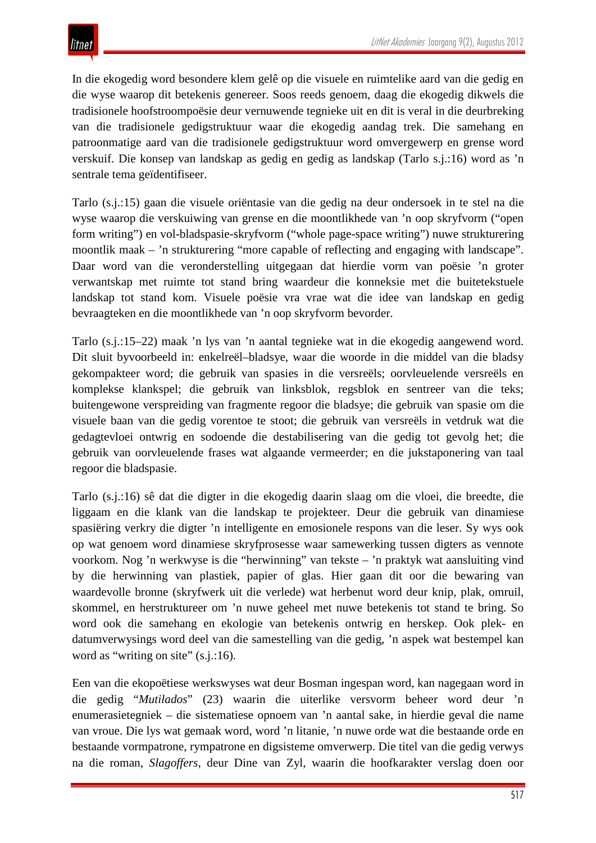In die ekogedig word besondere klem gelê op die visuele en ruimtelike aard van die gedig en die wyse waarop dit betekenis genereer. Soos reeds genoem, daag die ekogedig dikwels die tradisionele hoofstroompoësie deur vernuwende tegnieke uit en dit is veral in die deurbreking van die tradisionele gedigstruktuur waar die ekogedig aandag trek. Die samehang en patroonmatige aard van die tradisionele gedigstruktuur word omvergewerp en grense word verskuif. Die konsep van landskap as gedig en gedig as landskap (Tarlo s.j.:16) word as 'n sentrale tema geïdentifiseer.

Tarlo (s.j.:15) gaan die visuele oriëntasie van die gedig na deur ondersoek in te stel na die wyse waarop die verskuiwing van grense en die moontlikhede van 'n oop skryfvorm ("open form writing") en vol-bladspasie-skryfvorm ("whole page-space writing") nuwe strukturering moontlik maak – 'n strukturering "more capable of reflecting and engaging with landscape". Daar word van die veronderstelling uitgegaan dat hierdie vorm van poësie 'n groter verwantskap met ruimte tot stand bring waardeur die konneksie met die buitetekstuele landskap tot stand kom. Visuele poësie vra vrae wat die idee van landskap en gedig bevraagteken en die moontlikhede van 'n oop skryfvorm bevorder.

Tarlo (s.j.:15–22) maak 'n lys van 'n aantal tegnieke wat in die ekogedig aangewend word. Dit sluit byvoorbeeld in: enkelreël–bladsye, waar die woorde in die middel van die bladsy gekompakteer word; die gebruik van spasies in die versreëls; oorvleuelende versreëls en komplekse klankspel; die gebruik van linksblok, regsblok en sentreer van die teks; buitengewone verspreiding van fragmente regoor die bladsye; die gebruik van spasie om die visuele baan van die gedig vorentoe te stoot; die gebruik van versreëls in vetdruk wat die gedagtevloei ontwrig en sodoende die destabilisering van die gedig tot gevolg het; die gebruik van oorvleuelende frases wat algaande vermeerder; en die jukstaponering van taal regoor die bladspasie.

Tarlo (s.j.:16) sê dat die digter in die ekogedig daarin slaag om die vloei, die breedte, die liggaam en die klank van die landskap te projekteer. Deur die gebruik van dinamiese spasiëring verkry die digter 'n intelligente en emosionele respons van die leser. Sy wys ook op wat genoem word dinamiese skryfprosesse waar samewerking tussen digters as vennote voorkom. Nog 'n werkwyse is die "herwinning" van tekste – 'n praktyk wat aansluiting vind by die herwinning van plastiek, papier of glas. Hier gaan dit oor die bewaring van waardevolle bronne (skryfwerk uit die verlede) wat herbenut word deur knip, plak, omruil, skommel, en herstruktureer om 'n nuwe geheel met nuwe betekenis tot stand te bring. So word ook die samehang en ekologie van betekenis ontwrig en herskep. Ook plek- en datumverwysings word deel van die samestelling van die gedig, 'n aspek wat bestempel kan word as "writing on site" (s.j.:16).

Een van die ekopoëtiese werkswyses wat deur Bosman ingespan word, kan nagegaan word in die gedig "*Mutilados*" (23) waarin die uiterlike versvorm beheer word deur 'n enumerasietegniek – die sistematiese opnoem van 'n aantal sake, in hierdie geval die name van vroue. Die lys wat gemaak word, word 'n litanie, 'n nuwe orde wat die bestaande orde en bestaande vormpatrone, rympatrone en digsisteme omverwerp. Die titel van die gedig verwys na die roman, *Slagoffers*, deur Dine van Zyl, waarin die hoofkarakter verslag doen oor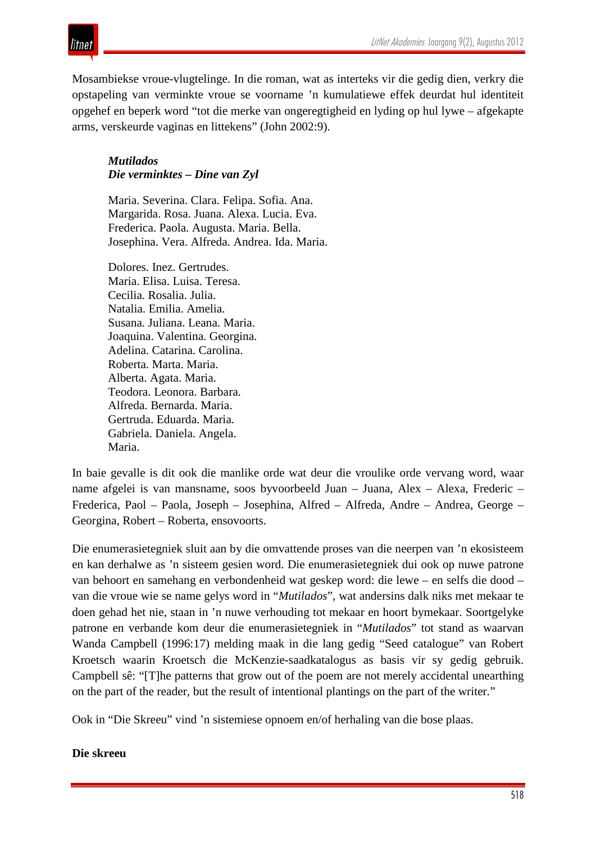

Mosambiekse vroue-vlugtelinge. In die roman, wat as interteks vir die gedig dien, verkry die opstapeling van verminkte vroue se voorname 'n kumulatiewe effek deurdat hul identiteit opgehef en beperk word "tot die merke van ongeregtigheid en lyding op hul lywe – afgekapte arms, verskeurde vaginas en littekens" (John 2002:9).

## *Mutilados Die verminktes – Dine van Zyl*

Maria. Severina. Clara. Felipa. Sofia. Ana. Margarida. Rosa. Juana. Alexa. Lucia. Eva. Frederica. Paola. Augusta. Maria. Bella. Josephina. Vera. Alfreda. Andrea. Ida. Maria.

Dolores. Inez. Gertrudes. Maria. Elisa. Luisa. Teresa. Cecilia. Rosalia. Julia. Natalia. Emilia. Amelia. Susana. Juliana. Leana. Maria. Joaquina. Valentina. Georgina. Adelina. Catarina. Carolina. Roberta. Marta. Maria. Alberta. Agata. Maria. Teodora. Leonora. Barbara. Alfreda. Bernarda. Maria. Gertruda. Eduarda. Maria. Gabriela. Daniela. Angela. Maria.

In baie gevalle is dit ook die manlike orde wat deur die vroulike orde vervang word, waar name afgelei is van mansname, soos byvoorbeeld Juan – Juana, Alex – Alexa, Frederic – Frederica, Paol – Paola, Joseph – Josephina, Alfred – Alfreda, Andre – Andrea, George – Georgina, Robert – Roberta, ensovoorts.

Die enumerasietegniek sluit aan by die omvattende proses van die neerpen van 'n ekosisteem en kan derhalwe as 'n sisteem gesien word. Die enumerasietegniek dui ook op nuwe patrone van behoort en samehang en verbondenheid wat geskep word: die lewe – en selfs die dood – van die vroue wie se name gelys word in "*Mutilados*", wat andersins dalk niks met mekaar te doen gehad het nie, staan in 'n nuwe verhouding tot mekaar en hoort bymekaar. Soortgelyke patrone en verbande kom deur die enumerasietegniek in "*Mutilados*" tot stand as waarvan Wanda Campbell (1996:17) melding maak in die lang gedig "Seed catalogue" van Robert Kroetsch waarin Kroetsch die McKenzie-saadkatalogus as basis vir sy gedig gebruik. Campbell sê: "[T]he patterns that grow out of the poem are not merely accidental unearthing on the part of the reader, but the result of intentional plantings on the part of the writer."

Ook in "Die Skreeu" vind 'n sistemiese opnoem en/of herhaling van die bose plaas.

### **Die skreeu**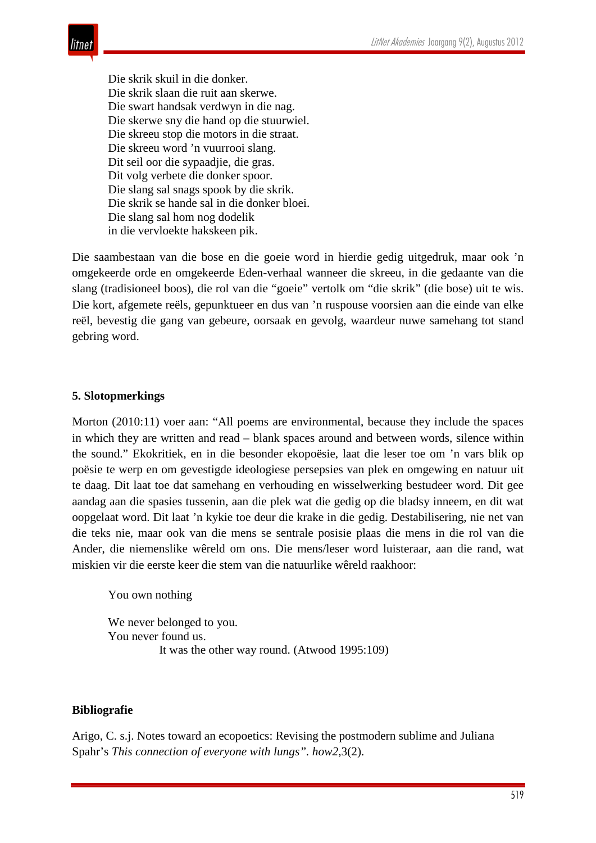

Die skrik skuil in die donker. Die skrik slaan die ruit aan skerwe. Die swart handsak verdwyn in die nag. Die skerwe sny die hand op die stuurwiel. Die skreeu stop die motors in die straat. Die skreeu word 'n vuurrooi slang. Dit seil oor die sypaadjie, die gras. Dit volg verbete die donker spoor. Die slang sal snags spook by die skrik. Die skrik se hande sal in die donker bloei. Die slang sal hom nog dodelik in die vervloekte hakskeen pik.

Die saambestaan van die bose en die goeie word in hierdie gedig uitgedruk, maar ook 'n omgekeerde orde en omgekeerde Eden-verhaal wanneer die skreeu, in die gedaante van die slang (tradisioneel boos), die rol van die "goeie" vertolk om "die skrik" (die bose) uit te wis. Die kort, afgemete reëls, gepunktueer en dus van 'n ruspouse voorsien aan die einde van elke reël, bevestig die gang van gebeure, oorsaak en gevolg, waardeur nuwe samehang tot stand gebring word.

#### **5. Slotopmerkings**

Morton (2010:11) voer aan: "All poems are environmental, because they include the spaces in which they are written and read – blank spaces around and between words, silence within the sound." Ekokritiek, en in die besonder ekopoësie, laat die leser toe om 'n vars blik op poësie te werp en om gevestigde ideologiese persepsies van plek en omgewing en natuur uit te daag. Dit laat toe dat samehang en verhouding en wisselwerking bestudeer word. Dit gee aandag aan die spasies tussenin, aan die plek wat die gedig op die bladsy inneem, en dit wat oopgelaat word. Dit laat 'n kykie toe deur die krake in die gedig. Destabilisering, nie net van die teks nie, maar ook van die mens se sentrale posisie plaas die mens in die rol van die Ander, die niemenslike wêreld om ons. Die mens/leser word luisteraar, aan die rand, wat miskien vir die eerste keer die stem van die natuurlike wêreld raakhoor:

You own nothing

We never belonged to you. You never found us. It was the other way round. (Atwood 1995:109)

#### **Bibliografie**

Arigo, C. s.j. Notes toward an ecopoetics: Revising the postmodern sublime and Juliana Spahr's *This connection of everyone with lungs". how2*,3(2).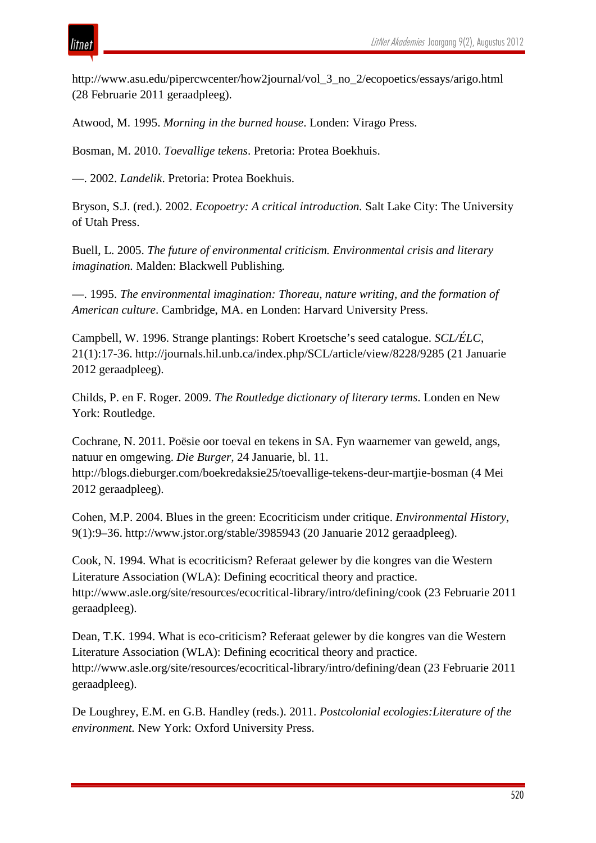

http://www.asu.edu/pipercwcenter/how2journal/vol\_3\_no\_2/ecopoetics/essays/arigo.html (28 Februarie 2011 geraadpleeg).

Atwood, M. 1995. *Morning in the burned house*. Londen: Virago Press.

Bosman, M. 2010. *Toevallige tekens*. Pretoria: Protea Boekhuis.

—. 2002. *Landelik*. Pretoria: Protea Boekhuis.

Bryson, S.J. (red.). 2002. *Ecopoetry: A critical introduction.* Salt Lake City: The University of Utah Press.

Buell, L. 2005. *The future of environmental criticism. Environmental crisis and literary imagination.* Malden: Blackwell Publishing*.*

—. 1995. *The environmental imagination: Thoreau, nature writing, and the formation of American culture*. Cambridge, MA. en Londen: Harvard University Press.

Campbell, W. 1996. Strange plantings: Robert Kroetsche's seed catalogue. *SCL/ÉLC*, 21(1):17-36. http://journals.hil.unb.ca/index.php/SCL/article/view/8228/9285 (21 Januarie 2012 geraadpleeg).

Childs, P. en F. Roger. 2009. *The Routledge dictionary of literary terms*. Londen en New York: Routledge.

Cochrane, N. 2011. Poësie oor toeval en tekens in SA. Fyn waarnemer van geweld, angs, natuur en omgewing. *Die Burger,* 24 Januarie, bl. 11.

http://blogs.dieburger.com/boekredaksie25/toevallige-tekens-deur-martjie-bosman (4 Mei 2012 geraadpleeg).

Cohen, M.P. 2004. Blues in the green: Ecocriticism under critique. *Environmental History*, 9(1):9–36. http://www.jstor.org/stable/3985943 (20 Januarie 2012 geraadpleeg).

Cook, N. 1994. What is ecocriticism? Referaat gelewer by die kongres van die Western Literature Association (WLA): Defining ecocritical theory and practice. http://www.asle.org/site/resources/ecocritical-library/intro/defining/cook (23 Februarie 2011 geraadpleeg).

Dean, T.K. 1994. What is eco-criticism? Referaat gelewer by die kongres van die Western Literature Association (WLA): Defining ecocritical theory and practice. http://www.asle.org/site/resources/ecocritical-library/intro/defining/dean (23 Februarie 2011 geraadpleeg).

De Loughrey, E.M. en G.B. Handley (reds.). 2011. *Postcolonial ecologies:Literature of the environment.* New York: Oxford University Press.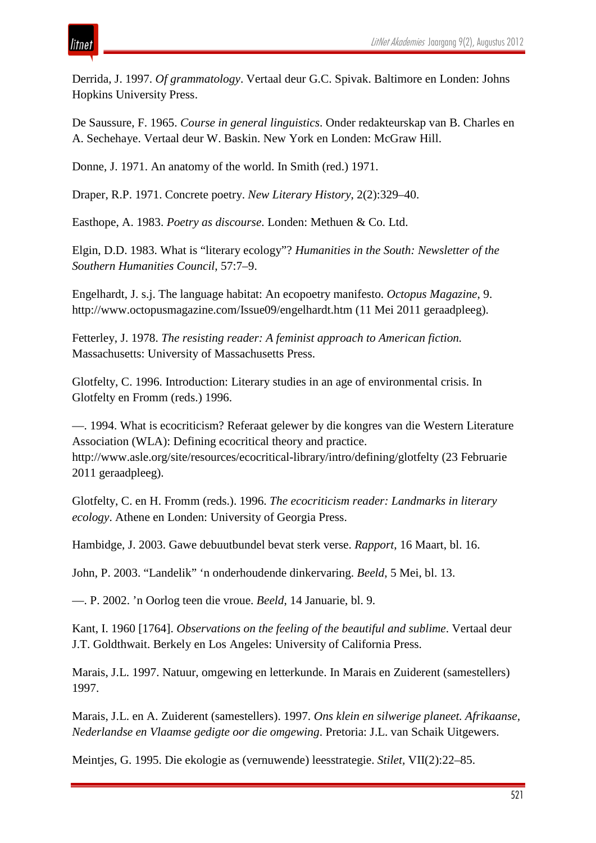Derrida, J. 1997. *Of grammatology*. Vertaal deur G.C. Spivak. Baltimore en Londen: Johns Hopkins University Press.

De Saussure, F. 1965. *Course in general linguistics*. Onder redakteurskap van B. Charles en A. Sechehaye. Vertaal deur W. Baskin. New York en Londen: McGraw Hill.

Donne, J. 1971. An anatomy of the world. In Smith (red.) 1971.

Draper, R.P. 1971. Concrete poetry. *New Literary History*, 2(2):329–40.

Easthope, A. 1983. *Poetry as discourse*. Londen: Methuen & Co. Ltd.

Elgin, D.D. 1983. What is "literary ecology"? *Humanities in the South: Newsletter of the Southern Humanities Council*, 57:7–9.

Engelhardt, J. s.j. The language habitat: An ecopoetry manifesto. *Octopus Magazine*, 9. http://www.octopusmagazine.com/Issue09/engelhardt.htm (11 Mei 2011 geraadpleeg).

Fetterley, J. 1978. *The resisting reader: A feminist approach to American fiction.* Massachusetts: University of Massachusetts Press.

Glotfelty, C. 1996. Introduction: Literary studies in an age of environmental crisis. In Glotfelty en Fromm (reds.) 1996.

—. 1994. What is ecocriticism? Referaat gelewer by die kongres van die Western Literature Association (WLA): Defining ecocritical theory and practice. http://www.asle.org/site/resources/ecocritical-library/intro/defining/glotfelty (23 Februarie 2011 geraadpleeg).

Glotfelty, C. en H. Fromm (reds.). 1996. *The ecocriticism reader: Landmarks in literary ecology*. Athene en Londen: University of Georgia Press.

Hambidge, J. 2003. Gawe debuutbundel bevat sterk verse. *Rapport*, 16 Maart, bl. 16.

John, P. 2003. "Landelik" 'n onderhoudende dinkervaring. *Beeld*, 5 Mei, bl. 13.

—. P. 2002. 'n Oorlog teen die vroue. *Beeld*, 14 Januarie, bl. 9.

Kant, I. 1960 [1764]. *Observations on the feeling of the beautiful and sublime*. Vertaal deur J.T. Goldthwait. Berkely en Los Angeles: University of California Press.

Marais, J.L. 1997. Natuur, omgewing en letterkunde. In Marais en Zuiderent (samestellers) 1997.

Marais, J.L. en A. Zuiderent (samestellers). 1997. *Ons klein en silwerige planeet. Afrikaanse, Nederlandse en Vlaamse gedigte oor die omgewing*. Pretoria: J.L. van Schaik Uitgewers.

Meintjes, G. 1995. Die ekologie as (vernuwende) leesstrategie. *Stilet,* VII(2):22–85.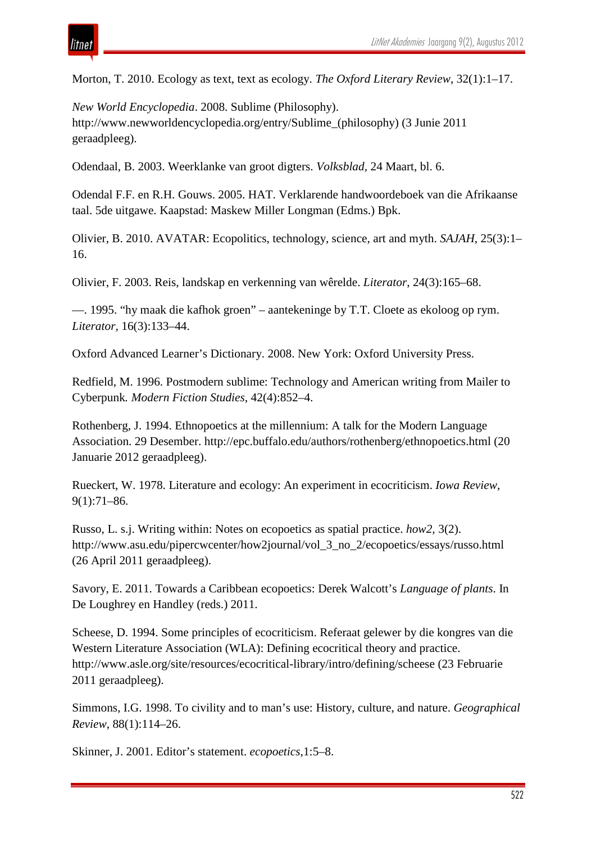Morton, T. 2010. Ecology as text, text as ecology. *The Oxford Literary Review*, 32(1):1–17.

*New World Encyclopedia*. 2008. Sublime (Philosophy). http://www.newworldencyclopedia.org/entry/Sublime\_(philosophy) (3 Junie 2011 geraadpleeg).

Odendaal, B. 2003. Weerklanke van groot digters. *Volksblad,* 24 Maart, bl. 6.

Odendal F.F. en R.H. Gouws. 2005. HAT. Verklarende handwoordeboek van die Afrikaanse taal. 5de uitgawe. Kaapstad: Maskew Miller Longman (Edms.) Bpk.

Olivier, B. 2010. AVATAR: Ecopolitics, technology, science, art and myth. *SAJAH*, 25(3):1– 16.

Olivier, F. 2003. Reis, landskap en verkenning van wêrelde. *Literator*, 24(3):165–68.

—. 1995. "hy maak die kafhok groen" – aantekeninge by T.T. Cloete as ekoloog op rym. *Literator,* 16(3):133–44.

Oxford Advanced Learner's Dictionary. 2008. New York: Oxford University Press.

Redfield, M. 1996. Postmodern sublime: Technology and American writing from Mailer to Cyberpunk*. Modern Fiction Studies*, 42(4):852–4.

Rothenberg, J. 1994. Ethnopoetics at the millennium: A talk for the Modern Language Association. 29 Desember. http://epc.buffalo.edu/authors/rothenberg/ethnopoetics.html (20 Januarie 2012 geraadpleeg).

Rueckert, W. 1978. Literature and ecology: An experiment in ecocriticism. *Iowa Review*, 9(1):71–86.

Russo, L. s.j. Writing within: Notes on ecopoetics as spatial practice. *how2,* 3(2). http://www.asu.edu/pipercwcenter/how2journal/vol\_3\_no\_2/ecopoetics/essays/russo.html (26 April 2011 geraadpleeg).

Savory, E. 2011. Towards a Caribbean ecopoetics: Derek Walcott's *Language of plants*. In De Loughrey en Handley (reds.) 2011.

Scheese, D. 1994. Some principles of ecocriticism. Referaat gelewer by die kongres van die Western Literature Association (WLA): Defining ecocritical theory and practice. http://www.asle.org/site/resources/ecocritical-library/intro/defining/scheese (23 Februarie 2011 geraadpleeg).

Simmons, I.G. 1998. To civility and to man's use: History, culture, and nature. *Geographical Review*, 88(1):114–26.

Skinner, J. 2001. Editor's statement. *ecopoetics*,1:5–8.